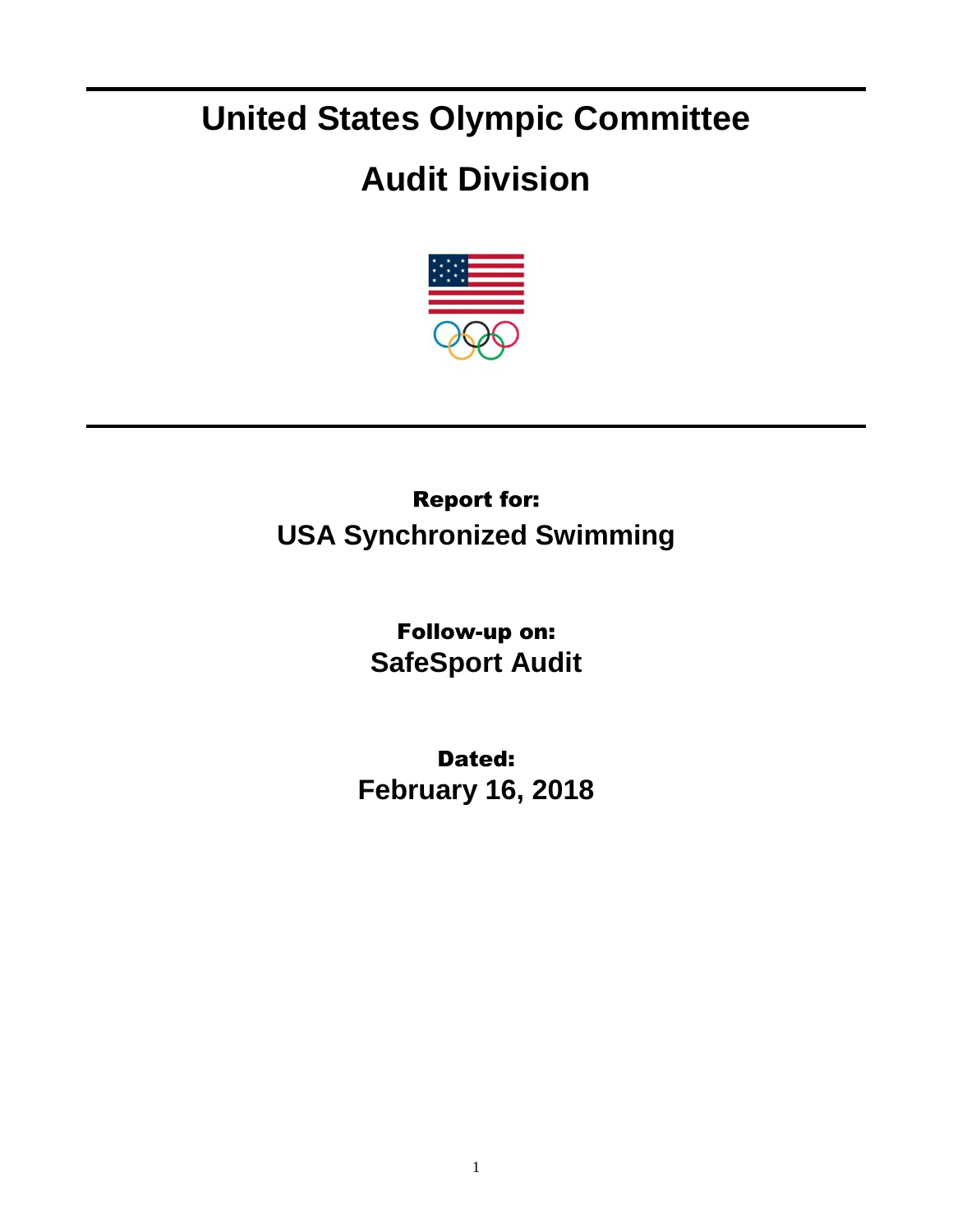# **United States Olympic Committee**

## **Audit Division**



## Report for: **USA Synchronized Swimming**

Follow-up on: **SafeSport Audit**

Dated: **February 16, 2018**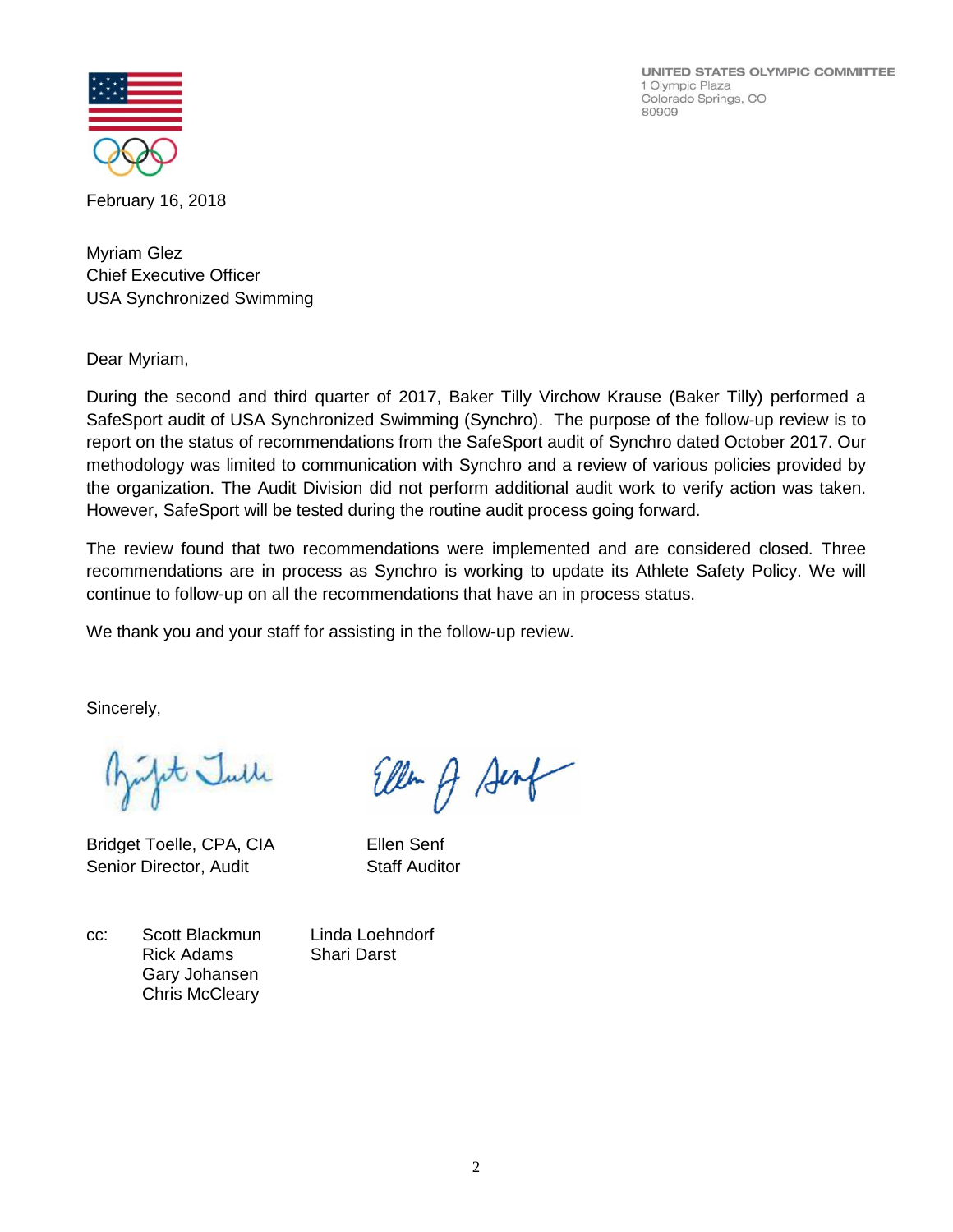UNITED STATES OLYMPIC COMMITTEE 1 Olympic Plaza Colorado Springs, CO 80909



February 16, 2018

Myriam Glez Chief Executive Officer USA Synchronized Swimming

Dear Myriam,

During the second and third quarter of 2017, Baker Tilly Virchow Krause (Baker Tilly) performed a SafeSport audit of USA Synchronized Swimming (Synchro). The purpose of the follow-up review is to report on the status of recommendations from the SafeSport audit of Synchro dated October 2017. Our methodology was limited to communication with Synchro and a review of various policies provided by the organization. The Audit Division did not perform additional audit work to verify action was taken. However, SafeSport will be tested during the routine audit process going forward.

The review found that two recommendations were implemented and are considered closed. Three recommendations are in process as Synchro is working to update its Athlete Safety Policy. We will continue to follow-up on all the recommendations that have an in process status.

We thank you and your staff for assisting in the follow-up review.

Sincerely,

pt Julle

Bridget Toelle, CPA, CIA Ellen Senf Senior Director, Audit Staff Auditor

Ellen of Senf

cc: Scott Blackmun Linda Loehndorf Rick Adams Shari Darst Gary Johansen Chris McCleary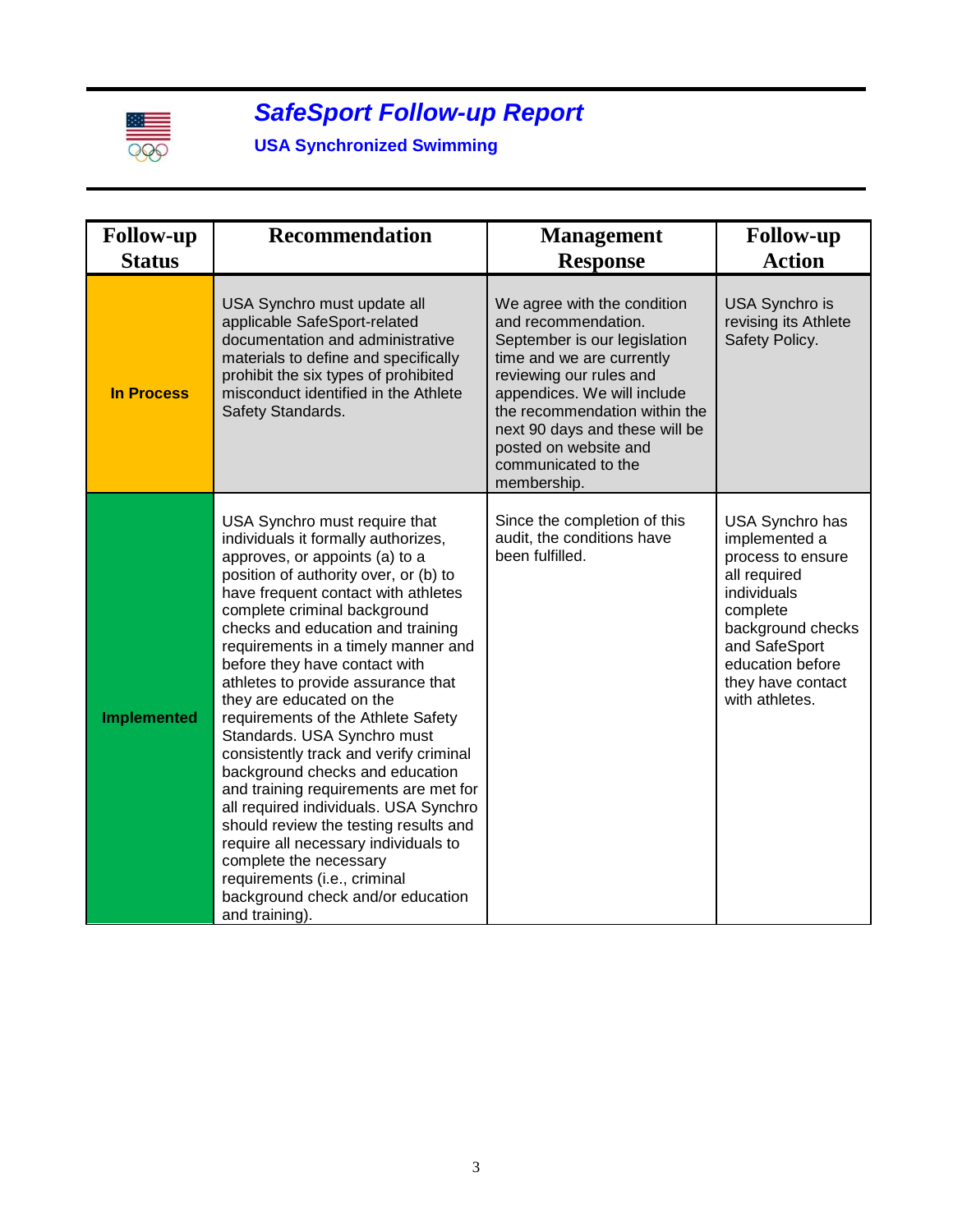

### *SafeSport Follow-up Report*

#### **USA Synchronized Swimming**

| <b>Follow-up</b><br><b>Status</b> | <b>Recommendation</b>                                                                                                                                                                                                                                                                                                                                                                                                                                                                                                                                                                                                                                                                                                                                                                                                                       | <b>Management</b><br><b>Response</b>                                                                                                                                                                                                                                                                        | <b>Follow-up</b><br><b>Action</b>                                                                                                                                                                 |
|-----------------------------------|---------------------------------------------------------------------------------------------------------------------------------------------------------------------------------------------------------------------------------------------------------------------------------------------------------------------------------------------------------------------------------------------------------------------------------------------------------------------------------------------------------------------------------------------------------------------------------------------------------------------------------------------------------------------------------------------------------------------------------------------------------------------------------------------------------------------------------------------|-------------------------------------------------------------------------------------------------------------------------------------------------------------------------------------------------------------------------------------------------------------------------------------------------------------|---------------------------------------------------------------------------------------------------------------------------------------------------------------------------------------------------|
| <b>In Process</b>                 | USA Synchro must update all<br>applicable SafeSport-related<br>documentation and administrative<br>materials to define and specifically<br>prohibit the six types of prohibited<br>misconduct identified in the Athlete<br>Safety Standards.                                                                                                                                                                                                                                                                                                                                                                                                                                                                                                                                                                                                | We agree with the condition<br>and recommendation.<br>September is our legislation<br>time and we are currently<br>reviewing our rules and<br>appendices. We will include<br>the recommendation within the<br>next 90 days and these will be<br>posted on website and<br>communicated to the<br>membership. | <b>USA Synchro is</b><br>revising its Athlete<br>Safety Policy.                                                                                                                                   |
| <b>Implemented</b>                | USA Synchro must require that<br>individuals it formally authorizes,<br>approves, or appoints (a) to a<br>position of authority over, or (b) to<br>have frequent contact with athletes<br>complete criminal background<br>checks and education and training<br>requirements in a timely manner and<br>before they have contact with<br>athletes to provide assurance that<br>they are educated on the<br>requirements of the Athlete Safety<br>Standards. USA Synchro must<br>consistently track and verify criminal<br>background checks and education<br>and training requirements are met for<br>all required individuals. USA Synchro<br>should review the testing results and<br>require all necessary individuals to<br>complete the necessary<br>requirements (i.e., criminal<br>background check and/or education<br>and training). | Since the completion of this<br>audit, the conditions have<br>been fulfilled.                                                                                                                                                                                                                               | USA Synchro has<br>implemented a<br>process to ensure<br>all required<br>individuals<br>complete<br>background checks<br>and SafeSport<br>education before<br>they have contact<br>with athletes. |